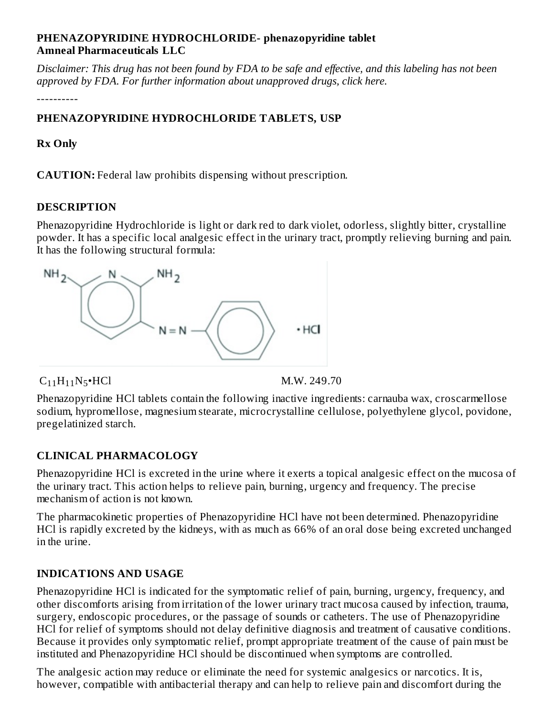#### **PHENAZOPYRIDINE HYDROCHLORIDE- phenazopyridine tablet Amneal Pharmaceuticals LLC**

Disclaimer: This drug has not been found by FDA to be safe and effective, and this labeling has not been *approved by FDA. For further information about unapproved drugs, click here.*

----------

# **PHENAZOPYRIDINE HYDROCHLORIDE TABLETS, USP**

### **Rx Only**

**CAUTION:** Federal law prohibits dispensing without prescription.

#### **DESCRIPTION**

Phenazopyridine Hydrochloride is light or dark red to dark violet, odorless, slightly bitter, crystalline powder. It has a specific local analgesic effect in the urinary tract, promptly relieving burning and pain. It has the following structural formula:



 $C_{11}H_{11}N_5 \cdot HCl$  M.W. 249.70

Phenazopyridine HCl tablets contain the following inactive ingredients: carnauba wax, croscarmellose sodium, hypromellose, magnesium stearate, microcrystalline cellulose, polyethylene glycol, povidone, pregelatinized starch.

# **CLINICAL PHARMACOLOGY**

Phenazopyridine HCl is excreted in the urine where it exerts a topical analgesic effect on the mucosa of the urinary tract. This action helps to relieve pain, burning, urgency and frequency. The precise mechanism of action is not known.

The pharmacokinetic properties of Phenazopyridine HCl have not been determined. Phenazopyridine HCl is rapidly excreted by the kidneys, with as much as 66% of an oral dose being excreted unchanged in the urine.

# **INDICATIONS AND USAGE**

Phenazopyridine HCl is indicated for the symptomatic relief of pain, burning, urgency, frequency, and other discomforts arising from irritation of the lower urinary tract mucosa caused by infection, trauma, surgery, endoscopic procedures, or the passage of sounds or catheters. The use of Phenazopyridine HCl for relief of symptoms should not delay definitive diagnosis and treatment of causative conditions. Because it provides only symptomatic relief, prompt appropriate treatment of the cause of pain must be instituted and Phenazopyridine HCl should be discontinued when symptoms are controlled.

The analgesic action may reduce or eliminate the need for systemic analgesics or narcotics. It is, however, compatible with antibacterial therapy and can help to relieve pain and discomfort during the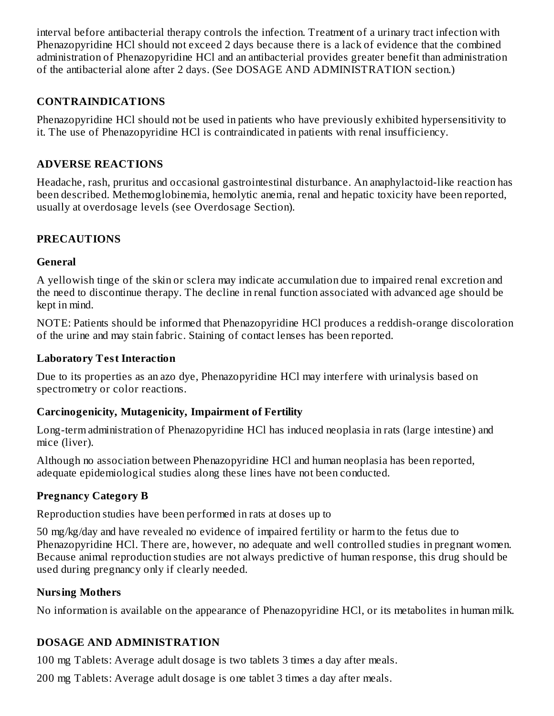interval before antibacterial therapy controls the infection. Treatment of a urinary tract infection with Phenazopyridine HCl should not exceed 2 days because there is a lack of evidence that the combined administration of Phenazopyridine HCl and an antibacterial provides greater benefit than administration of the antibacterial alone after 2 days. (See DOSAGE AND ADMINISTRATION section.)

# **CONTRAINDICATIONS**

Phenazopyridine HCl should not be used in patients who have previously exhibited hypersensitivity to it. The use of Phenazopyridine HCl is contraindicated in patients with renal insufficiency.

# **ADVERSE REACTIONS**

Headache, rash, pruritus and occasional gastrointestinal disturbance. An anaphylactoid-like reaction has been described. Methemoglobinemia, hemolytic anemia, renal and hepatic toxicity have been reported, usually at overdosage levels (see Overdosage Section).

# **PRECAUTIONS**

#### **General**

A yellowish tinge of the skin or sclera may indicate accumulation due to impaired renal excretion and the need to discontinue therapy. The decline in renal function associated with advanced age should be kept in mind.

NOTE: Patients should be informed that Phenazopyridine HCl produces a reddish-orange discoloration of the urine and may stain fabric. Staining of contact lenses has been reported.

#### **Laboratory Test Interaction**

Due to its properties as an azo dye, Phenazopyridine HCl may interfere with urinalysis based on spectrometry or color reactions.

# **Carcinogenicity, Mutagenicity, Impairment of Fertility**

Long-term administration of Phenazopyridine HCl has induced neoplasia in rats (large intestine) and mice (liver).

Although no association between Phenazopyridine HCl and human neoplasia has been reported, adequate epidemiological studies along these lines have not been conducted.

# **Pregnancy Category B**

Reproduction studies have been performed in rats at doses up to

50 mg/kg/day and have revealed no evidence of impaired fertility or harm to the fetus due to Phenazopyridine HCl. There are, however, no adequate and well controlled studies in pregnant women. Because animal reproduction studies are not always predictive of human response, this drug should be used during pregnancy only if clearly needed.

# **Nursing Mothers**

No information is available on the appearance of Phenazopyridine HCl, or its metabolites in human milk.

# **DOSAGE AND ADMINISTRATION**

100 mg Tablets: Average adult dosage is two tablets 3 times a day after meals.

200 mg Tablets: Average adult dosage is one tablet 3 times a day after meals.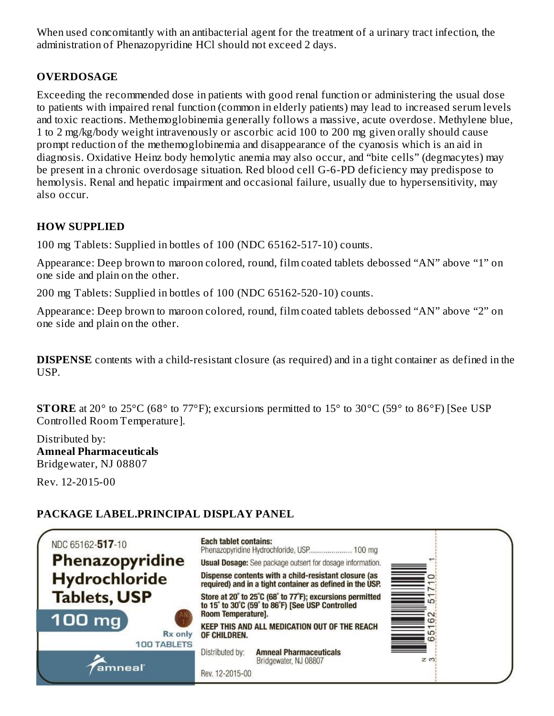When used concomitantly with an antibacterial agent for the treatment of a urinary tract infection, the administration of Phenazopyridine HCl should not exceed 2 days.

# **OVERDOSAGE**

Exceeding the recommended dose in patients with good renal function or administering the usual dose to patients with impaired renal function (common in elderly patients) may lead to increased serum levels and toxic reactions. Methemoglobinemia generally follows a massive, acute overdose. Methylene blue, 1 to 2 mg/kg/body weight intravenously or ascorbic acid 100 to 200 mg given orally should cause prompt reduction of the methemoglobinemia and disappearance of the cyanosis which is an aid in diagnosis. Oxidative Heinz body hemolytic anemia may also occur, and "bite cells" (degmacytes) may be present in a chronic overdosage situation. Red blood cell G-6-PD deficiency may predispose to hemolysis. Renal and hepatic impairment and occasional failure, usually due to hypersensitivity, may also occur.

# **HOW SUPPLIED**

100 mg Tablets: Supplied in bottles of 100 (NDC 65162-517-10) counts.

Appearance: Deep brown to maroon colored, round, film coated tablets debossed "AN" above "1" on one side and plain on the other.

200 mg Tablets: Supplied in bottles of 100 (NDC 65162-520-10) counts.

Appearance: Deep brown to maroon colored, round, film coated tablets debossed "AN" above "2" on one side and plain on the other.

**DISPENSE** contents with a child-resistant closure (as required) and in a tight container as defined in the USP.

**STORE** at 20<sup>°</sup> to 25<sup>°</sup>C (68<sup>°</sup> to 77<sup>°</sup>F); excursions permitted to 15<sup>°</sup> to 30<sup>°</sup>C (59<sup>°</sup> to 86<sup>°</sup>F) [See USP] Controlled Room Temperature].

Distributed by: **Amneal Pharmaceuticals** Bridgewater, NJ 08807

Rev. 12-2015-00

# **PACKAGE LABEL.PRINCIPAL DISPLAY PANEL**

| NDC 65162-517-10                               | <b>Each tablet contains:</b><br>Phenazopyridine Hydrochloride, USP 100 mg                                         |                   |
|------------------------------------------------|-------------------------------------------------------------------------------------------------------------------|-------------------|
| Phenazopyridine                                | <b>Usual Dosage:</b> See package outsert for dosage information.                                                  |                   |
| Hydrochloride                                  | Dispense contents with a child-resistant closure (as<br>required) and in a tight container as defined in the USP. | ≣                 |
| <b>Tablets, USP</b>                            | Store at 20° to 25°C (68° to 77°F); excursions permitted<br>to 15° to 30°C (59° to 86°F) [See USP Controlled      | ÷                 |
| 100 mg<br><b>Rx</b> only<br><b>100 TABLETS</b> | Room Temperature].<br>KEEP THIS AND ALL MEDICATION OUT OF THE REACH<br>OF CHILDREN.                               | $\circ$<br>ഥ<br>Ö |
| amneal                                         | <b>Amneal Pharmaceuticals</b><br>Distributed by:<br>Bridgewater, NJ 08807<br>Rev. 12-2015-00                      | $\geq$ m.         |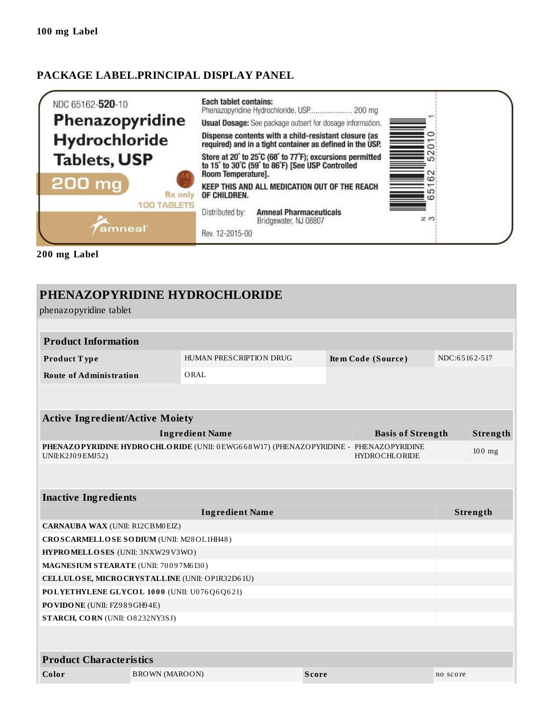#### **PACKAGE LABEL.PRINCIPAL DISPLAY PANEL**



**200 mg Label**

|                                                                                                                                 |                                                 | PHENAZOPYRIDINE HYDROCHLORIDE  |              |                          |               |          |
|---------------------------------------------------------------------------------------------------------------------------------|-------------------------------------------------|--------------------------------|--------------|--------------------------|---------------|----------|
| phenazopyridine tablet                                                                                                          |                                                 |                                |              |                          |               |          |
|                                                                                                                                 |                                                 |                                |              |                          |               |          |
| <b>Product Information</b>                                                                                                      |                                                 |                                |              |                          |               |          |
| Product Type                                                                                                                    |                                                 | <b>HUMAN PRESCRIPTION DRUG</b> |              | Item Code (Source)       | NDC:65162-517 |          |
| <b>Route of Administration</b>                                                                                                  |                                                 | ORAL                           |              |                          |               |          |
|                                                                                                                                 |                                                 |                                |              |                          |               |          |
|                                                                                                                                 |                                                 |                                |              |                          |               |          |
| <b>Active Ingredient/Active Moiety</b>                                                                                          |                                                 |                                |              |                          |               |          |
|                                                                                                                                 |                                                 | <b>Ingredient Name</b>         |              | <b>Basis of Strength</b> |               | Strength |
| PHENAZOPYRIDINE HYDROCHLORIDE (UNII: 0EWG668W17) (PHENAZOPYRIDINE - PHENAZOPYRIDINE<br><b>HYDROCHLORIDE</b><br>UNII:K2J09EMJ52) |                                                 |                                |              | 100 mg                   |               |          |
|                                                                                                                                 |                                                 |                                |              |                          |               |          |
| <b>Inactive Ingredients</b>                                                                                                     |                                                 |                                |              |                          |               |          |
|                                                                                                                                 |                                                 | <b>Ingredient Name</b>         |              |                          |               | Strength |
| <b>CARNAUBA WAX (UNII: R12CBM0EIZ)</b>                                                                                          |                                                 |                                |              |                          |               |          |
| CROSCARMELLOSE SODIUM (UNII: M28OL1HH48)                                                                                        |                                                 |                                |              |                          |               |          |
|                                                                                                                                 | HYPROMELLOSES (UNII: 3NXW29V3WO)                |                                |              |                          |               |          |
|                                                                                                                                 | MAGNESIUM STEARATE (UNII: 70097M6I30)           |                                |              |                          |               |          |
|                                                                                                                                 | CELLULOSE, MICRO CRYSTALLINE (UNII: OP1R32D61U) |                                |              |                          |               |          |
| POLYETHYLENE GLYCOL 1000 (UNII: U076Q6Q621)                                                                                     |                                                 |                                |              |                          |               |          |
| PO VIDONE (UNII: FZ989GH94E)                                                                                                    |                                                 |                                |              |                          |               |          |
| STARCH, CORN (UNII: O8232NY3SJ)                                                                                                 |                                                 |                                |              |                          |               |          |
|                                                                                                                                 |                                                 |                                |              |                          |               |          |
| <b>Product Characteristics</b>                                                                                                  |                                                 |                                |              |                          |               |          |
| Color                                                                                                                           | <b>BROWN</b> (MAROON)                           |                                | <b>Score</b> |                          | no score      |          |
|                                                                                                                                 |                                                 |                                |              |                          |               |          |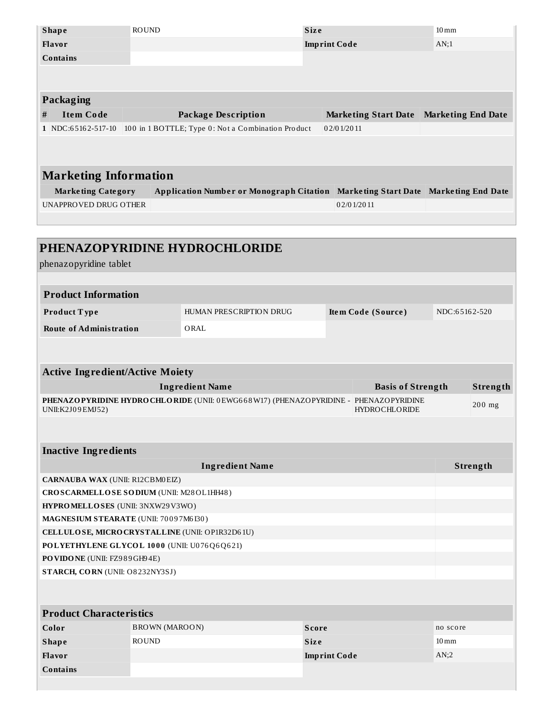|                       | <b>Shape</b>                 | <b>ROUND</b> |                                                    | <b>Size</b> |                             | $10 \,\mathrm{mm}$        |
|-----------------------|------------------------------|--------------|----------------------------------------------------|-------------|-----------------------------|---------------------------|
|                       | <b>Flavor</b>                |              |                                                    |             | <b>Imprint Code</b>         | AN;1                      |
|                       | Contains                     |              |                                                    |             |                             |                           |
|                       |                              |              |                                                    |             |                             |                           |
|                       |                              |              |                                                    |             |                             |                           |
|                       | Packaging                    |              |                                                    |             |                             |                           |
| #                     | <b>Item Code</b>             |              | <b>Package Description</b>                         |             | <b>Marketing Start Date</b> | <b>Marketing End Date</b> |
|                       | $1$ NDC:65162-517-10         |              | 100 in 1 BOTTLE; Type 0: Not a Combination Product |             | 02/01/2011                  |                           |
|                       |                              |              |                                                    |             |                             |                           |
|                       |                              |              |                                                    |             |                             |                           |
|                       | <b>Marketing Information</b> |              |                                                    |             |                             |                           |
|                       |                              |              |                                                    |             |                             |                           |
| UNAPPROVED DRUG OTHER |                              |              | <b>Application Number or Monograph Citation</b>    |             | Marketing Start Date        | <b>Marketing End Date</b> |
|                       | <b>Marketing Category</b>    |              |                                                    |             | 02/01/2011                  |                           |
|                       |                              |              |                                                    |             |                             |                           |
|                       |                              |              |                                                    |             |                             |                           |
|                       |                              |              |                                                    |             |                             |                           |
|                       |                              |              | PHENAZOPYRIDINE HYDROCHLORIDE                      |             |                             |                           |
|                       | phenazopyridine tablet       |              |                                                    |             |                             |                           |

| <b>Product Information</b>     |                         |                    |               |  |  |
|--------------------------------|-------------------------|--------------------|---------------|--|--|
| <b>Product Type</b>            | HUMAN PRESCRIPTION DRUG | Item Code (Source) | NDC:65162-520 |  |  |
| <b>Route of Administration</b> | ORAL                    |                    |               |  |  |

| <b>Active Ingredient/Active Moiety</b>                                                                         |                          |  |          |  |  |  |
|----------------------------------------------------------------------------------------------------------------|--------------------------|--|----------|--|--|--|
| <b>Ingredient Name</b>                                                                                         | <b>Basis of Strength</b> |  | Strength |  |  |  |
| <b>PHENAZOPYRIDINE HYDROCHLORIDE</b> (UNII: 0EWG668W17) (PHENAZOPYRIDINE - PHENAZOPYRIDINE<br>UNII:K2J09EMJ52) | <b>HYDROCHLORIDE</b>     |  | $200$ mg |  |  |  |
|                                                                                                                |                          |  |          |  |  |  |
| <b>Inactive Ingredients</b>                                                                                    |                          |  |          |  |  |  |
| <b>Ingredient Name</b>                                                                                         |                          |  | Strength |  |  |  |

| <b>CARNAUBA WAX (UNII: R12CBM0EIZ)</b>          |  |
|-------------------------------------------------|--|
| CROSCARMELLOSE SODIUM (UNII: M28OL1HH48)        |  |
| <b>HYPROMELLOSES</b> (UNII: 3NXW29V3WO)         |  |
| <b>MAGNESIUM STEARATE (UNII: 70097M6I30)</b>    |  |
| CELLULOSE, MICRO CRYSTALLINE (UNII: OP1R32D61U) |  |
| POLYETHYLENE GLYCOL 1000 (UNII: U076Q6Q621)     |  |
| <b>PO VIDO NE (UNII: FZ989GH94E)</b>            |  |
| <b>STARCH, CORN (UNII: O8232NY3SJ)</b>          |  |
|                                                 |  |

| <b>Product Characteristics</b> |                |                     |                    |  |  |  |
|--------------------------------|----------------|---------------------|--------------------|--|--|--|
| Color                          | BROWN (MAROON) | <b>Score</b>        | no score           |  |  |  |
| <b>Shape</b>                   | ROUND          | <b>Size</b>         | $10 \,\mathrm{mm}$ |  |  |  |
| <b>Flavor</b>                  |                | <b>Imprint Code</b> | AN:2               |  |  |  |
| <b>Contains</b>                |                |                     |                    |  |  |  |